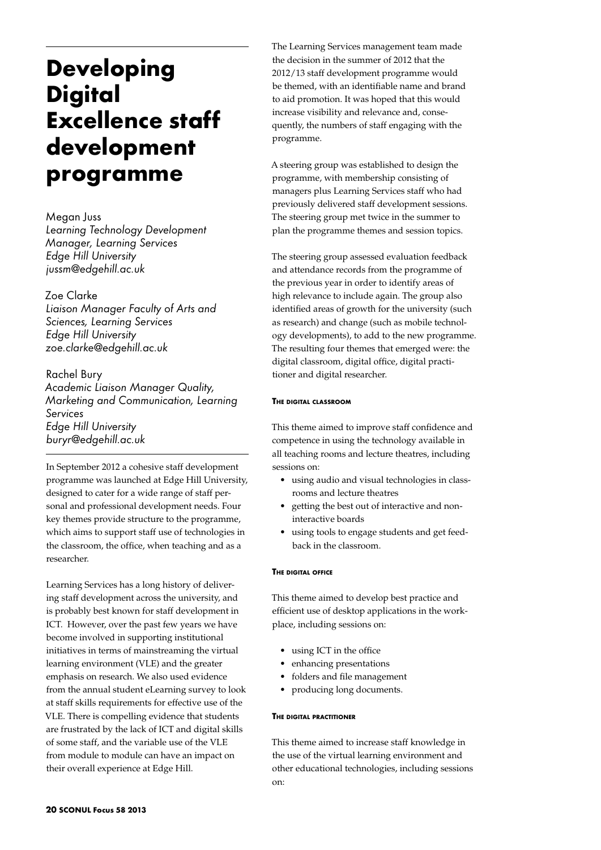# **Developing Digital Excellence staff development programme**

Megan Juss *Learning Technology Development Manager, Learning Services Edge Hill University jussm@edgehill.ac.uk*

# Zoe Clarke

*Liaison Manager Faculty of Arts and Sciences, Learning Services Edge Hill University zoe.clarke@edgehill.ac.uk*

Rachel Bury *Academic Liaison Manager Quality, Marketing and Communication, Learning Services Edge Hill University buryr@edgehill.ac.uk*

In September 2012 a cohesive staff development programme was launched at Edge Hill University, designed to cater for a wide range of staff personal and professional development needs. Four key themes provide structure to the programme, which aims to support staff use of technologies in the classroom, the office, when teaching and as a researcher.

Learning Services has a long history of delivering staff development across the university, and is probably best known for staff development in ICT. However, over the past few years we have become involved in supporting institutional initiatives in terms of mainstreaming the virtual learning environment (VLE) and the greater emphasis on research. We also used evidence from the annual student eLearning survey to look at staff skills requirements for effective use of the VLE. There is compelling evidence that students are frustrated by the lack of ICT and digital skills of some staff, and the variable use of the VLE from module to module can have an impact on their overall experience at Edge Hill.

The Learning Services management team made the decision in the summer of 2012 that the 2012/13 staff development programme would be themed, with an identifiable name and brand to aid promotion. It was hoped that this would increase visibility and relevance and, consequently, the numbers of staff engaging with the programme.

A steering group was established to design the programme, with membership consisting of managers plus Learning Services staff who had previously delivered staff development sessions. The steering group met twice in the summer to plan the programme themes and session topics.

The steering group assessed evaluation feedback and attendance records from the programme of the previous year in order to identify areas of high relevance to include again. The group also identified areas of growth for the university (such as research) and change (such as mobile technology developments), to add to the new programme. The resulting four themes that emerged were: the digital classroom, digital office, digital practitioner and digital researcher.

### **The digital classroom**

This theme aimed to improve staff confidence and competence in using the technology available in all teaching rooms and lecture theatres, including sessions on:

- • using audio and visual technologies in classrooms and lecture theatres
- getting the best out of interactive and noninteractive boards
- using tools to engage students and get feedback in the classroom.

### **The digital office**

This theme aimed to develop best practice and efficient use of desktop applications in the workplace, including sessions on:

- using ICT in the office
- • enhancing presentations
- folders and file management
- producing long documents.

#### **The digital practitioner**

This theme aimed to increase staff knowledge in the use of the virtual learning environment and other educational technologies, including sessions on: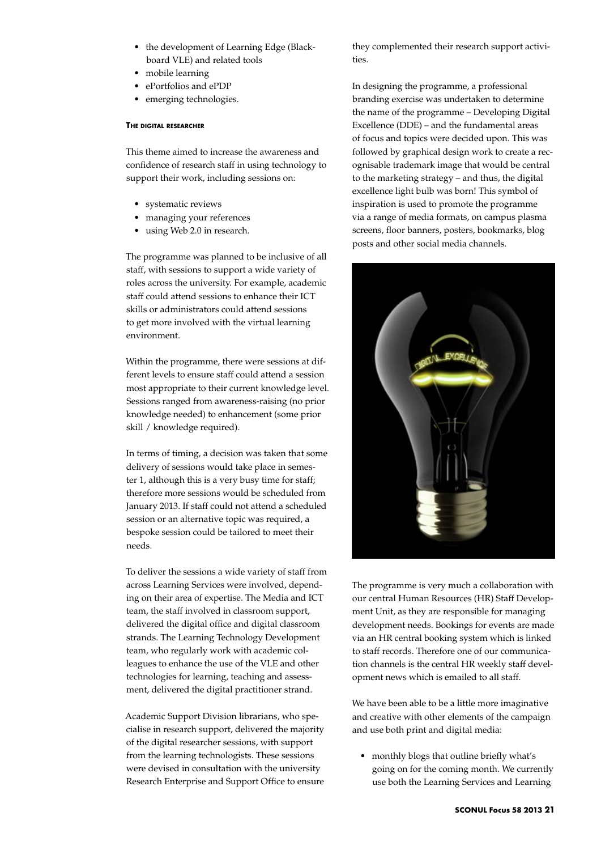- the development of Learning Edge (Blackboard VLE) and related tools
- mobile learning
- ePortfolios and ePDP
- emerging technologies.

#### **The digital researcher**

This theme aimed to increase the awareness and confidence of research staff in using technology to support their work, including sessions on:

- • systematic reviews
- managing your references
- using Web 2.0 in research.

The programme was planned to be inclusive of all staff, with sessions to support a wide variety of roles across the university. For example, academic staff could attend sessions to enhance their ICT skills or administrators could attend sessions to get more involved with the virtual learning environment.

Within the programme, there were sessions at different levels to ensure staff could attend a session most appropriate to their current knowledge level. Sessions ranged from awareness-raising (no prior knowledge needed) to enhancement (some prior skill / knowledge required).

In terms of timing, a decision was taken that some delivery of sessions would take place in semester 1, although this is a very busy time for staff; therefore more sessions would be scheduled from January 2013. If staff could not attend a scheduled session or an alternative topic was required, a bespoke session could be tailored to meet their needs.

To deliver the sessions a wide variety of staff from across Learning Services were involved, depending on their area of expertise. The Media and ICT team, the staff involved in classroom support, delivered the digital office and digital classroom strands. The Learning Technology Development team, who regularly work with academic colleagues to enhance the use of the VLE and other technologies for learning, teaching and assessment, delivered the digital practitioner strand.

Academic Support Division librarians, who specialise in research support, delivered the majority of the digital researcher sessions, with support from the learning technologists. These sessions were devised in consultation with the university Research Enterprise and Support Office to ensure

they complemented their research support activities.

In designing the programme, a professional branding exercise was undertaken to determine the name of the programme – Developing Digital Excellence (DDE) – and the fundamental areas of focus and topics were decided upon. This was followed by graphical design work to create a recognisable trademark image that would be central to the marketing strategy – and thus, the digital excellence light bulb was born! This symbol of inspiration is used to promote the programme via a range of media formats, on campus plasma screens, floor banners, posters, bookmarks, blog posts and other social media channels.



The programme is very much a collaboration with our central Human Resources (HR) Staff Development Unit, as they are responsible for managing development needs. Bookings for events are made via an HR central booking system which is linked to staff records. Therefore one of our communication channels is the central HR weekly staff development news which is emailed to all staff.

We have been able to be a little more imaginative and creative with other elements of the campaign and use both print and digital media:

• monthly blogs that outline briefly what's going on for the coming month. We currently use both the Learning Services and Learning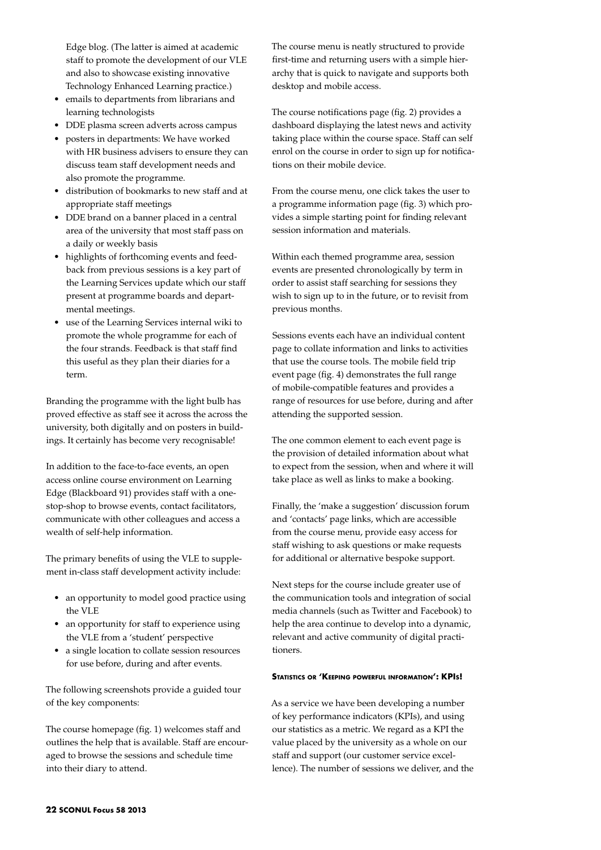Edge blog. (The latter is aimed at academic staff to promote the development of our VLE and also to showcase existing innovative Technology Enhanced Learning practice.)

- • emails to departments from librarians and learning technologists
- • DDE plasma screen adverts across campus
- posters in departments: We have worked with HR business advisers to ensure they can discuss team staff development needs and also promote the programme.
- distribution of bookmarks to new staff and at appropriate staff meetings
- DDE brand on a banner placed in a central area of the university that most staff pass on a daily or weekly basis
- highlights of forthcoming events and feedback from previous sessions is a key part of the Learning Services update which our staff present at programme boards and departmental meetings.
- • use of the Learning Services internal wiki to promote the whole programme for each of the four strands. Feedback is that staff find this useful as they plan their diaries for a term.

Branding the programme with the light bulb has proved effective as staff see it across the across the university, both digitally and on posters in buildings. It certainly has become very recognisable!

In addition to the face-to-face events, an open access online course environment on Learning Edge (Blackboard 91) provides staff with a onestop-shop to browse events, contact facilitators, communicate with other colleagues and access a wealth of self-help information.

The primary benefits of using the VLE to supplement in-class staff development activity include:

- an opportunity to model good practice using the VLE
- an opportunity for staff to experience using the VLE from a 'student' perspective
- a single location to collate session resources for use before, during and after events.

The following screenshots provide a guided tour of the key components:

The course homepage (fig. 1) welcomes staff and outlines the help that is available. Staff are encouraged to browse the sessions and schedule time into their diary to attend.

The course menu is neatly structured to provide first-time and returning users with a simple hierarchy that is quick to navigate and supports both desktop and mobile access.

The course notifications page (fig. 2) provides a dashboard displaying the latest news and activity taking place within the course space. Staff can self enrol on the course in order to sign up for notifications on their mobile device.

From the course menu, one click takes the user to a programme information page (fig. 3) which provides a simple starting point for finding relevant session information and materials.

Within each themed programme area, session events are presented chronologically by term in order to assist staff searching for sessions they wish to sign up to in the future, or to revisit from previous months.

Sessions events each have an individual content page to collate information and links to activities that use the course tools. The mobile field trip event page (fig. 4) demonstrates the full range of mobile-compatible features and provides a range of resources for use before, during and after attending the supported session.

The one common element to each event page is the provision of detailed information about what to expect from the session, when and where it will take place as well as links to make a booking.

Finally, the 'make a suggestion' discussion forum and 'contacts' page links, which are accessible from the course menu, provide easy access for staff wishing to ask questions or make requests for additional or alternative bespoke support.

Next steps for the course include greater use of the communication tools and integration of social media channels (such as Twitter and Facebook) to help the area continue to develop into a dynamic, relevant and active community of digital practitioners.

## **Statistics or 'Keeping powerful information': KPIs!**

As a service we have been developing a number of key performance indicators (KPIs), and using our statistics as a metric. We regard as a KPI the value placed by the university as a whole on our staff and support (our customer service excellence). The number of sessions we deliver, and the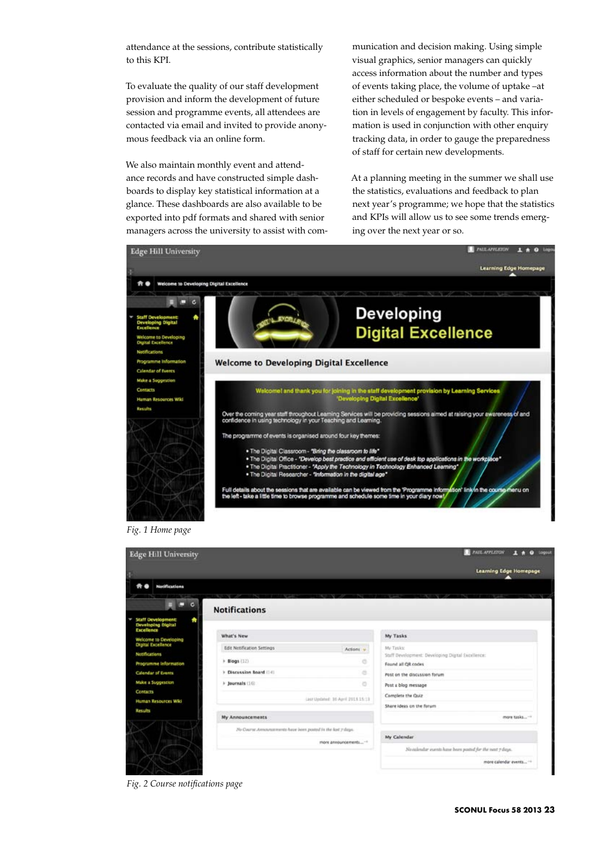attendance at the sessions, contribute statistically to this KPI.

To evaluate the quality of our staff development provision and inform the development of future session and programme events, all attendees are contacted via email and invited to provide anonymous feedback via an online form.

We also maintain monthly event and attendance records and have constructed simple dashboards to display key statistical information at a glance. These dashboards are also available to be exported into pdf formats and shared with senior managers across the university to assist with com-

munication and decision making. Using simple visual graphics, senior managers can quickly access information about the number and types of events taking place, the volume of uptake –at either scheduled or bespoke events – and variation in levels of engagement by faculty. This information is used in conjunction with other enquiry tracking data, in order to gauge the preparedness of staff for certain new developments.

At a planning meeting in the summer we shall use the statistics, evaluations and feedback to plan next year's programme; we hope that the statistics and KPIs will allow us to see some trends emerging over the next year or so.



*Fig. 1 Home page*

| <b>Edge Hill University</b>                                        |                                                               | <b>PAUL APPLICITIES</b><br>Logout                       |
|--------------------------------------------------------------------|---------------------------------------------------------------|---------------------------------------------------------|
|                                                                    |                                                               | <b>Learning Edge Homepage</b>                           |
| <b>Notifications</b><br>* *                                        |                                                               |                                                         |
| <b>Notifications</b>                                               |                                                               |                                                         |
| <b>Staff Development:</b><br>Developing Digital<br>*<br>Excellence |                                                               |                                                         |
| What's New<br>Welcome to Developing                                |                                                               | My Tasks                                                |
| <b>Digital Excellence</b><br><b>Edit Netification Settings</b>     | Actions v                                                     | My Tasks:                                               |
| Netifications<br>$+$ Blogs $(12)$                                  | o                                                             | Staff Development: Developing Digital Excellence:       |
| Programme Information                                              |                                                               | Found all OR codes                                      |
| > Discussion Reard (14)<br><b>Calendar of Events</b>               | a.                                                            | Post on the discussion forum                            |
| Make a Suggestion<br>$\triangleright$ Journals (16)                | $\circ$                                                       | Post a blog message                                     |
| <b>Contacts</b>                                                    |                                                               | Complete the Quiz                                       |
| Human Resources Wiki                                               | List Updated: 30 April 2011 15:19                             | Share ideas on the furum                                |
| Results<br><b>My Announcements</b>                                 |                                                               | more tasks-                                             |
|                                                                    | No Course Associatements have been posted in the lost y days. |                                                         |
|                                                                    | more announcements                                            | My Calendar                                             |
|                                                                    |                                                               | No askedar exents have been posted for the west 7 days. |
|                                                                    |                                                               | more calendar events **                                 |

*Fig. 2 Course notifications page*